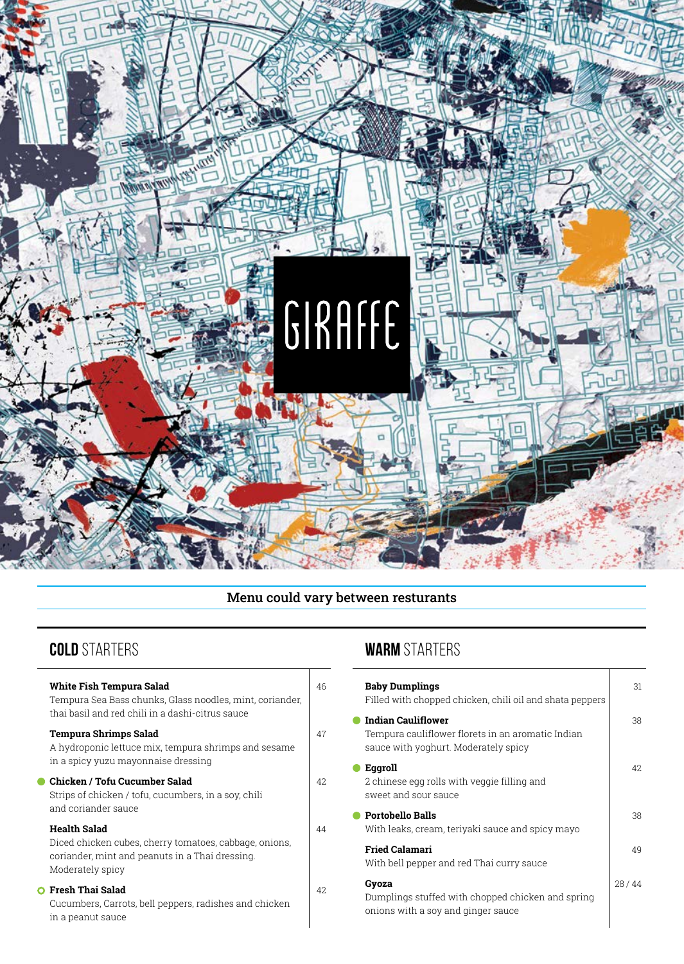

# Menu could vary between resturants

| <b>White Fish Tempura Salad</b><br>Tempura Sea Bass chunks, Glass noodles, mint, coriander,<br>thai basil and red chili in a dashi-citrus sauce      | 46  |
|------------------------------------------------------------------------------------------------------------------------------------------------------|-----|
| <b>Tempura Shrimps Salad</b><br>A hydroponic lettuce mix, tempura shrimps and sesame<br>in a spicy yuzu mayonnaise dressing                          | 47  |
| Chicken / Tofu Cucumber Salad<br>Strips of chicken / tofu, cucumbers, in a soy, chili<br>and coriander sauce                                         | 42. |
| <b>Health Salad</b><br>Diced chicken cubes, cherry tomatoes, cabbage, onions,<br>coriander, mint and peanuts in a Thai dressing.<br>Moderately spicy | 44  |
| <b>O</b> Fresh Thai Salad<br>Cucumbers, Carrots, bell peppers, radishes and chicken<br>in a peanut sauce                                             | 42. |

# **COLD** STARTERS **WARM** STARTERS

| <b>Baby Dumplings</b><br>Filled with chopped chicken, chili oil and shata peppers                               | 31    |
|-----------------------------------------------------------------------------------------------------------------|-------|
| Indian Cauliflower<br>Tempura cauliflower florets in an aromatic Indian<br>sauce with yoghurt. Moderately spicy | 38    |
| Eggroll<br>2 chinese egg rolls with veggie filling and<br>sweet and sour sauce                                  | 42.   |
| <b>Portobello Balls</b><br>With leaks, cream, teriyaki sauce and spicy mayo                                     | 38    |
| <b>Fried Calamari</b><br>With bell pepper and red Thai curry sauce                                              | 49    |
| Gyoza<br>Dumplings stuffed with chopped chicken and spring<br>onions with a soy and ginger sauce                | 28/44 |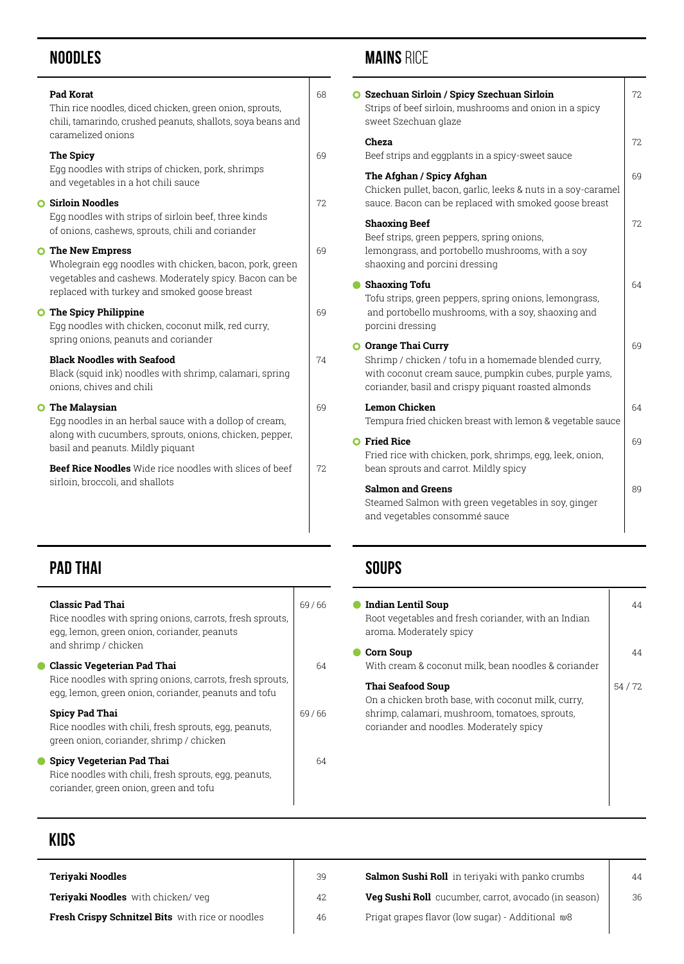# **Noodles**

| <b>Pad Korat</b><br>Thin rice noodles, diced chicken, green onion, sprouts,<br>chili, tamarindo, crushed peanuts, shallots, soya beans and<br>caramelized onions                              | 68  |
|-----------------------------------------------------------------------------------------------------------------------------------------------------------------------------------------------|-----|
| The Spicy<br>Egg noodles with strips of chicken, pork, shrimps<br>and vegetables in a hot chili sauce                                                                                         | 69  |
| <b>O</b> Sirloin Noodles<br>Egg noodles with strips of sirloin beef, three kinds<br>of onions, cashews, sprouts, chili and coriander                                                          | 72. |
| <b>O</b> The New Empress<br>Wholegrain egg noodles with chicken, bacon, pork, green<br>vegetables and cashews. Moderately spicy. Bacon can be<br>replaced with turkey and smoked goose breast | 69  |
| <b>O</b> The Spicy Philippine<br>Egg noodles with chicken, coconut milk, red curry,<br>spring onions, peanuts and coriander                                                                   | 69  |
| <b>Black Noodles with Seafood</b><br>Black (squid ink) noodles with shrimp, calamari, spring<br>onions, chives and chili                                                                      | 74  |
| <b>O</b> The Malaysian<br>Egg noodles in an herbal sauce with a dollop of cream,<br>along with cucumbers, sprouts, onions, chicken, pepper,<br>basil and peanuts. Mildly piquant              | 69  |
| Beef Rice Noodles Wide rice noodles with slices of beef<br>sirloin, broccoli, and shallots                                                                                                    | 72  |
|                                                                                                                                                                                               |     |

# **PAD THAI**

| <b>Classic Pad Thai</b><br>Rice noodles with spring onions, carrots, fresh sprouts,<br>egg, lemon, green onion, coriander, peanuts<br>and shrimp / chicken | 69/66 |
|------------------------------------------------------------------------------------------------------------------------------------------------------------|-------|
| <b>Classic Vegeterian Pad Thai</b><br>Rice noodles with spring onions, carrots, fresh sprouts,<br>egg, lemon, green onion, coriander, peanuts and tofu     | 64    |
| Spicy Pad Thai<br>Rice noodles with chili, fresh sprouts, egg, peanuts,<br>green onion, coriander, shrimp / chicken                                        | 69/66 |
| <b>Spicy Vegeterian Pad Thai</b><br>Rice noodles with chili, fresh sprouts, egg, peanuts,<br>coriander, green onion, green and tofu                        | 64    |

# **MAINS RICE**

| <b>O</b> Szechuan Sirloin / Spicy Szechuan Sirloin<br>Strips of beef sirloin, mushrooms and onion in a spicy<br>sweet Szechuan glaze                                                        | 72. |
|---------------------------------------------------------------------------------------------------------------------------------------------------------------------------------------------|-----|
| Cheza<br>Beef strips and eggplants in a spicy-sweet sauce                                                                                                                                   | 72. |
| The Afghan / Spicy Afghan<br>Chicken pullet, bacon, garlic, leeks & nuts in a soy-caramel<br>sauce. Bacon can be replaced with smoked goose breast                                          | 69  |
| <b>Shaoxing Beef</b><br>Beef strips, green peppers, spring onions,<br>lemongrass, and portobello mushrooms, with a soy<br>shaoxing and porcini dressing                                     | 72  |
| <b>Shaoxing Tofu</b><br>Tofu strips, green peppers, spring onions, lemongrass,<br>and portobello mushrooms, with a soy, shaoxing and<br>porcini dressing                                    | 64  |
| O Orange Thai Curry<br>Shrimp / chicken / tofu in a homemade blended curry,<br>with coconut cream sauce, pumpkin cubes, purple yams,<br>coriander, basil and crispy piquant roasted almonds | 69  |
| Lemon Chicken<br>Tempura fried chicken breast with lemon & vegetable sauce                                                                                                                  | 64  |
| <b>O</b> Fried Rice<br>Fried rice with chicken, pork, shrimps, egg, leek, onion,<br>bean sprouts and carrot. Mildly spicy                                                                   | 69  |
| <b>Salmon and Greens</b><br>Steamed Salmon with green vegetables in soy, ginger<br>and vegetables consommé sauce                                                                            | 89  |

# **Soups**

| Indian Lentil Soup<br>Root vegetables and fresh coriander, with an Indian<br>aroma. Moderately spicy                                                                 | 44      |
|----------------------------------------------------------------------------------------------------------------------------------------------------------------------|---------|
| Corn Soup<br>With cream & coconut milk, bean noodles & coriander                                                                                                     | 44      |
| Thai Seafood Soup<br>On a chicken broth base, with coconut milk, curry,<br>shrimp, calamari, mushroom, tomatoes, sprouts,<br>coriander and noodles. Moderately spicy | 54 / 72 |

# **KIDS**

÷.

| Teriyaki Noodles                                 | 39 | Salmon Sushi Roll in teriyaki with panko crumbs      | 44 |
|--------------------------------------------------|----|------------------------------------------------------|----|
| <b>Teriyaki Noodles</b> with chicken/veg         | 42 | Veg Sushi Roll cucumber, carrot, avocado (in season) | 36 |
| Fresh Crispy Schnitzel Bits with rice or noodles | 46 | Prigat grapes flavor (low sugar) - Additional ₪8     |    |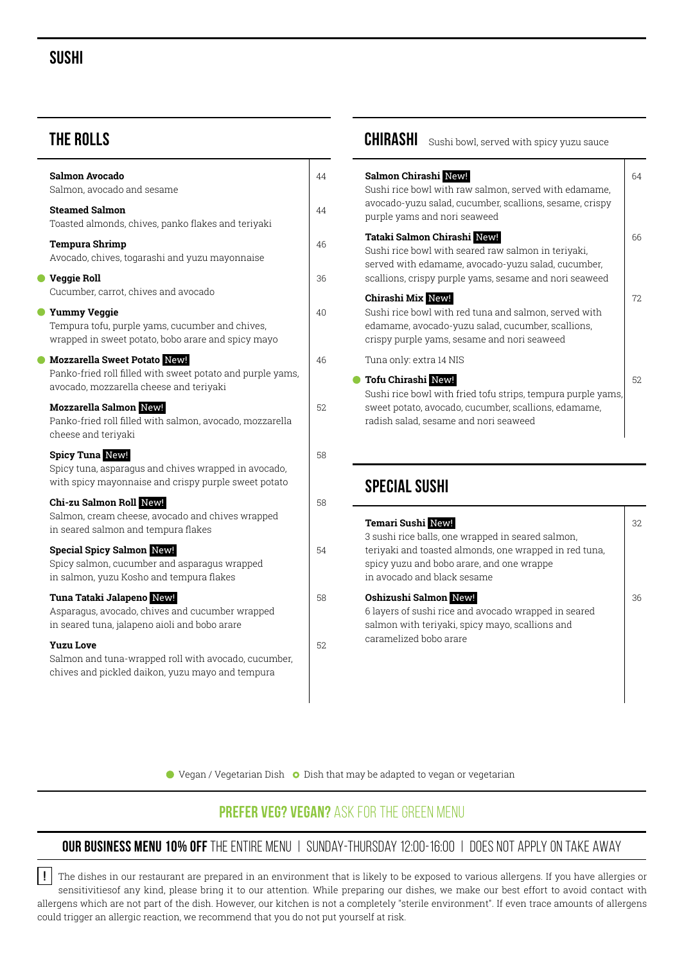## **Sushi**

## **THE ROLLS**

|           | Salmon Avocado<br>Salmon, avocado and sesame                                                                                           | 44  |
|-----------|----------------------------------------------------------------------------------------------------------------------------------------|-----|
|           | <b>Steamed Salmon</b><br>Toasted almonds, chives, panko flakes and teriyaki                                                            | 44  |
|           | <b>Tempura Shrimp</b><br>Avocado, chives, togarashi and yuzu mayonnaise                                                                | 46  |
|           | ● Veggie Roll<br>Cucumber, carrot, chives and avocado                                                                                  | 36  |
| $\bullet$ | <b>Yummy Veggie</b><br>Tempura tofu, purple yams, cucumber and chives,<br>wrapped in sweet potato, bobo arare and spicy mayo           | 40  |
| $\bullet$ | Mozzarella Sweet Potato New!<br>Panko-fried roll filled with sweet potato and purple yams,<br>avocado, mozzarella cheese and teriyaki  | 46  |
|           | <b>Mozzarella Salmon New!</b><br>Panko-fried roll filled with salmon, avocado, mozzarella<br>cheese and teriyaki                       | 52. |
|           | <b>Spicy Tuna New!</b><br>Spicy tuna, asparagus and chives wrapped in avocado,<br>with spicy mayonnaise and crispy purple sweet potato | 58  |
|           | Chi-zu Salmon Roll New!<br>Salmon, cream cheese, avocado and chives wrapped<br>in seared salmon and tempura flakes                     | 58  |
|           | <b>Special Spicy Salmon New!</b><br>Spicy salmon, cucumber and asparagus wrapped<br>in salmon, yuzu Kosho and tempura flakes           | 54  |
|           | Tuna Tataki Jalapeno New!<br>Asparagus, avocado, chives and cucumber wrapped<br>in seared tuna, jalapeno aioli and bobo arare          | 58  |
|           | <b>Yuzu Love</b><br>Salmon and tuna-wrapped roll with avocado, cucumber,<br>chives and pickled daikon, yuzu mayo and tempura           | 52. |

# **CHIRASHI** Sushi bowl, served with spicy yuzu sauce

| Salmon Chirashi New!<br>Sushi rice bowl with raw salmon, served with edamame,<br>avocado-yuzu salad, cucumber, scallions, sesame, crispy<br>purple yams and nori seaweed                                     | 64  |
|--------------------------------------------------------------------------------------------------------------------------------------------------------------------------------------------------------------|-----|
| Tataki Salmon Chirashi New!<br>Sushi rice bowl with seared raw salmon in teriyaki,<br>served with edamame, avocado-yuzu salad, cucumber,<br>scallions, crispy purple yams, sesame and nori seaweed           | 66  |
| Chirashi Mix New!<br>Sushi rice bowl with red tuna and salmon, served with<br>edamame, avocado-yuzu salad, cucumber, scallions,<br>crispy purple yams, sesame and nori seaweed                               | 72. |
| Tuna only: extra 14 NIS                                                                                                                                                                                      |     |
| <b>C</b> Tofu Chirashi New!<br>Sushi rice bowl with fried tofu strips, tempura purple yams,<br>sweet potato, avocado, cucumber, scallions, edamame,<br>radish salad, sesame and nori seaweed                 | 52. |
| <b>SPECIAL SUSHI</b>                                                                                                                                                                                         |     |
| Temari Sushi New!<br>3 sushi rice balls, one wrapped in seared salmon,<br>teriyaki and toasted almonds, one wrapped in red tuna,<br>spicy yuzu and bobo arare, and one wrappe<br>in avocado and black sesame | 32. |
| Oshizushi Salmon New!<br>6 layers of sushi rice and avocado wrapped in seared<br>salmon with teriyaki, spicy mayo, scallions and<br>caramelized bobo arare                                                   | 36  |

 $\bullet$  Vegan / Vegetarian Dish  $\bullet$  Dish that may be adapted to vegan or vegetarian

## **PREFER VEG? VEGAN?** ASK FOR THE GREEN MENU

#### **OUR BUSINESS MENU 10% OFF** THE ENTIRE MENU | SUNDAY-THURSDAY 12:00-16:00 | DOES NOT APPLY ON TAKE AWAY

 $\vert\,\vert$  The dishes in our restaurant are prepared in an environment that is likely to be exposed to various allergens. If you have allergies or sensitivitiesof any kind, please bring it to our attention. While preparing our dishes, we make our best effort to avoid contact with allergens which are not part of the dish. However, our kitchen is not a completely "sterile environment". If even trace amounts of allergens could trigger an allergic reaction, we recommend that you do not put yourself at risk. **!**